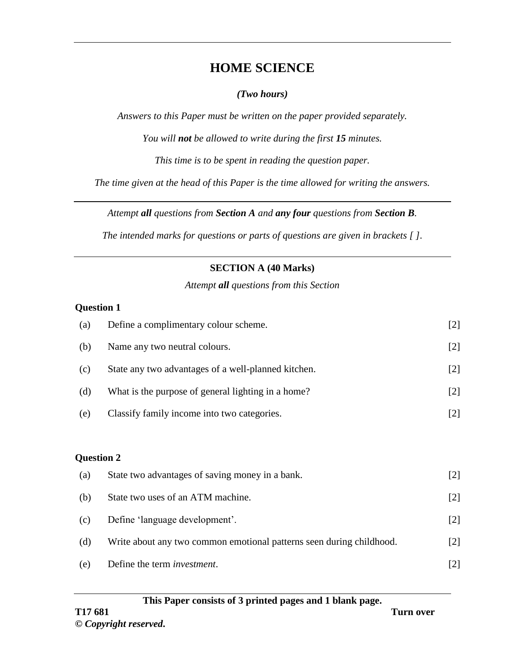# **HOME SCIENCE**

#### *(Two hours)*

*Answers to this Paper must be written on the paper provided separately.*

*You will not be allowed to write during the first 15 minutes.*

*This time is to be spent in reading the question paper.*

*The time given at the head of this Paper is the time allowed for writing the answers.*

*Attempt all questions from Section A and any four questions from Section B.*

*The intended marks for questions or parts of questions are given in brackets [ ].*

### **SECTION A (40 Marks)**

*Attempt all questions from this Section*

#### **Question 1**

| (a)               | Define a complimentary colour scheme.                                | $[2]$ |
|-------------------|----------------------------------------------------------------------|-------|
| (b)               | Name any two neutral colours.                                        | $[2]$ |
| (c)               | State any two advantages of a well-planned kitchen.                  | $[2]$ |
| (d)               | What is the purpose of general lighting in a home?                   | $[2]$ |
| (e)               | Classify family income into two categories.                          | $[2]$ |
|                   |                                                                      |       |
| <b>Question 2</b> |                                                                      |       |
| (a)               | State two advantages of saving money in a bank.                      | $[2]$ |
| (b)               | State two uses of an ATM machine.                                    | $[2]$ |
| (c)               | Define 'language development'.                                       | $[2]$ |
| (d)               | Write about any two common emotional patterns seen during childhood. | $[2]$ |
| (e)               | Define the term <i>investment</i> .                                  | $[2]$ |

#### **This Paper consists of 3 printed pages and 1 blank page. T17 681 Turn over**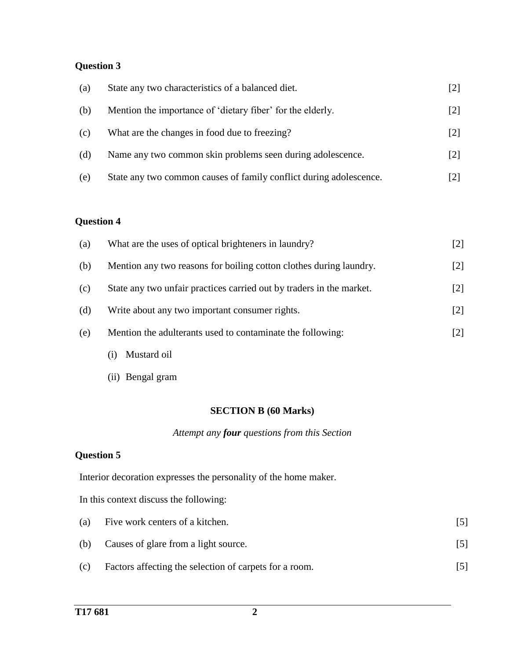## **Question 3**

| (a) | State any two characteristics of a balanced diet.                  | [2]               |
|-----|--------------------------------------------------------------------|-------------------|
| (b) | Mention the importance of 'dietary fiber' for the elderly.         | $\lceil 2 \rceil$ |
| (c) | What are the changes in food due to freezing?                      | $\lceil 2 \rceil$ |
| (d) | Name any two common skin problems seen during adolescence.         | $\lceil 2 \rceil$ |
| (e) | State any two common causes of family conflict during adolescence. |                   |

## **Question 4**

| (a) | What are the uses of optical brighteners in laundry?                 | [2]               |
|-----|----------------------------------------------------------------------|-------------------|
| (b) | Mention any two reasons for boiling cotton clothes during laundry.   | $[2]$             |
| (c) | State any two unfair practices carried out by traders in the market. | $[2]$             |
| (d) | Write about any two important consumer rights.                       | $\lceil 2 \rceil$ |
| (e) | Mention the adulterants used to contaminate the following:           | $[2]$             |
|     |                                                                      |                   |

- (i) Mustard oil
- (ii) Bengal gram

#### **SECTION B (60 Marks)**

#### *Attempt any four questions from this Section*

## **Question 5**

Interior decoration expresses the personality of the home maker.

In this context discuss the following:

| (a) | Five work centers of a kitchen.                        | 15 I |
|-----|--------------------------------------------------------|------|
| (b) | Causes of glare from a light source.                   | [5]  |
| (c) | Factors affecting the selection of carpets for a room. |      |